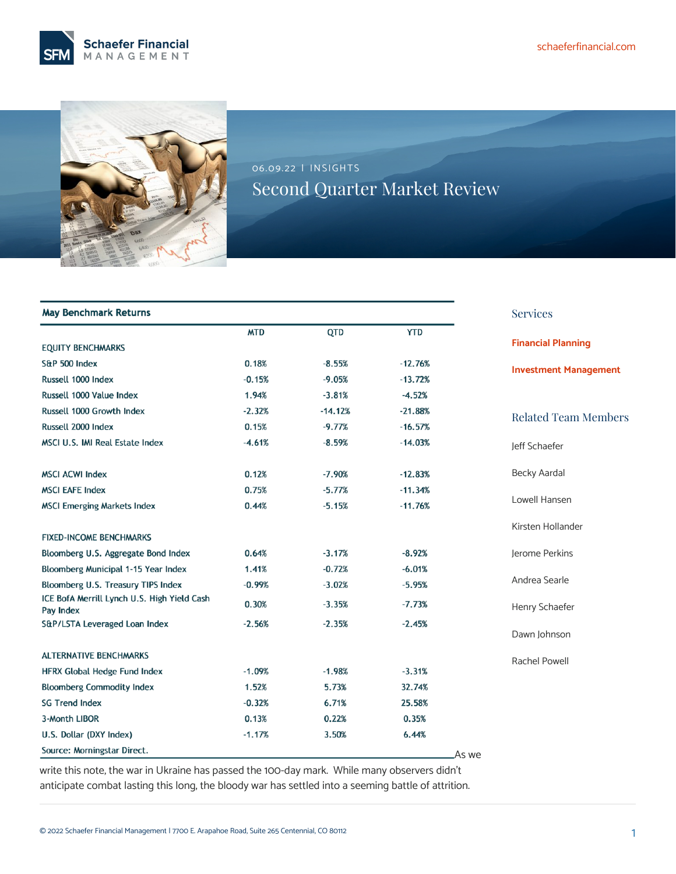



06.09.22 | INSIGHTS Second Quarter Market Review

| <b>May Benchmark Returns</b>                             |            |            |            | <b>Services</b>              |
|----------------------------------------------------------|------------|------------|------------|------------------------------|
|                                                          | <b>MTD</b> | <b>QTD</b> | <b>YTD</b> |                              |
| <b>EQUITY BENCHMARKS</b>                                 |            |            |            | <b>Financial Planning</b>    |
| S&P 500 Index                                            | 0.18%      | $-8.55%$   | $-12.76%$  | <b>Investment Management</b> |
| Russell 1000 Index                                       | $-0.15%$   | $-9.05%$   | $-13.72%$  |                              |
| Russell 1000 Value Index                                 | 1.94%      | $-3.81%$   | $-4.52%$   |                              |
| Russell 1000 Growth Index                                | $-2.32%$   | $-14.12%$  | $-21.88%$  | <b>Related Team Members</b>  |
| Russell 2000 Index                                       | 0.15%      | $-9.77%$   | $-16.57%$  |                              |
| <b>MSCI U.S. IMI Real Estate Index</b>                   | $-4.61%$   | $-8.59%$   | $-14.03%$  | leff Schaefer                |
| <b>MSCI ACWI Index</b>                                   | 0.12%      | $-7.90%$   | $-12.83%$  | <b>Becky Aardal</b>          |
| <b>MSCI EAFE Index</b>                                   | 0.75%      | $-5.77%$   | $-11.34%$  |                              |
| <b>MSCI Emerging Markets Index</b>                       | 0.44%      | $-5.15%$   | $-11.76%$  | Lowell Hansen                |
| <b>FIXED-INCOME BENCHMARKS</b>                           |            |            |            | Kirsten Hollander            |
| Bloomberg U.S. Aggregate Bond Index                      | 0.64%      | $-3.17%$   | $-8.92%$   | Jerome Perkins               |
| Bloomberg Municipal 1-15 Year Index                      | 1.41%      | $-0.72%$   | $-6.01%$   |                              |
| Bloomberg U.S. Treasury TIPS Index                       | $-0.99%$   | $-3.02%$   | $-5.95%$   | Andrea Searle                |
| ICE BofA Merrill Lynch U.S. High Yield Cash<br>Pay Index | 0.30%      | $-3.35%$   | $-7.73%$   | Henry Schaefer               |
| S&P/LSTA Leveraged Loan Index                            | $-2.56%$   | $-2.35%$   | $-2.45%$   | Dawn Johnson                 |
| <b>ALTERNATIVE BENCHMARKS</b>                            |            |            |            | Rachel Powell                |
| HFRX Global Hedge Fund Index                             | $-1.09%$   | $-1.98%$   | $-3.31%$   |                              |
| <b>Bloomberg Commodity Index</b>                         | 1.52%      | 5.73%      | 32.74%     |                              |
| <b>SG Trend Index</b>                                    | $-0.32%$   | 6.71%      | 25.58%     |                              |
| 3-Month LIBOR                                            | 0.13%      | 0.22%      | 0.35%      |                              |
| U.S. Dollar (DXY Index)                                  | $-1.17%$   | 3.50%      | 6.44%      |                              |
| Source: Morningstar Direct.                              |            |            | .As we     |                              |
|                                                          |            |            |            |                              |

write this note, the war in Ukraine has passed the 100-day mark. While many observers didn't anticipate combat lasting this long, the bloody war has settled into a seeming battle of attrition.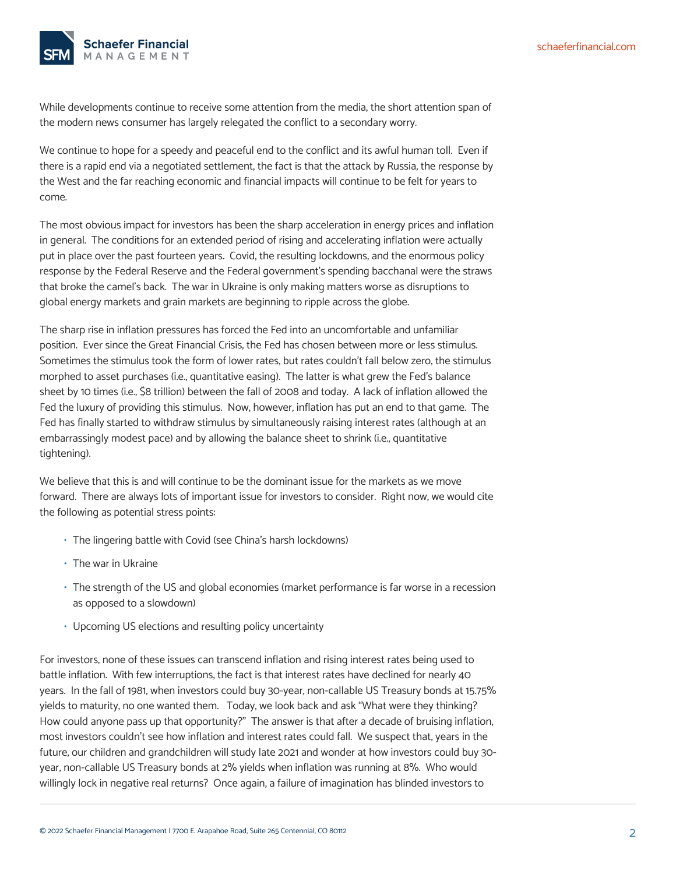

While developments continue to receive some attention from the media, the short attention span of the modern news consumer has largely relegated the conflict to a secondary worry.

We continue to hope for a speedy and peaceful end to the conflict and its awful human toll. Even if there is a rapid end via a negotiated settlement, the fact is that the attack by Russia, the response by the West and the far reaching economic and financial impacts will continue to be felt for years to come.

The most obvious impact for investors has been the sharp acceleration in energy prices and inflation in general. The conditions for an extended period of rising and accelerating inflation were actually put in place over the past fourteen years. Covid, the resulting lockdowns, and the enormous policy response by the Federal Reserve and the Federal government's spending bacchanal were the straws that broke the camel's back. The war in Ukraine is only making matters worse as disruptions to global energy markets and grain markets are beginning to ripple across the globe.

The sharp rise in inflation pressures has forced the Fed into an uncomfortable and unfamiliar position. Ever since the Great Financial Crisis, the Fed has chosen between more or less stimulus. Sometimes the stimulus took the form of lower rates, but rates couldn't fall below zero, the stimulus morphed to asset purchases (i.e., quantitative easing). The latter is what grew the Fed's balance sheet by 10 times (i.e., \$8 trillion) between the fall of 2008 and today. A lack of inflation allowed the Fed the luxury of providing this stimulus. Now, however, inflation has put an end to that game. The Fed has finally started to withdraw stimulus by simultaneously raising interest rates (although at an embarrassingly modest pace) and by allowing the balance sheet to shrink (i.e., quantitative tightening).

We believe that this is and will continue to be the dominant issue for the markets as we move forward. There are always lots of important issue for investors to consider. Right now, we would cite the following as potential stress points:

- The lingering battle with Covid (see China's harsh lockdowns)
- The war in Ukraine
- The strength of the US and global economies (market performance is far worse in a recession as opposed to a slowdown)
- Upcoming US elections and resulting policy uncertainty

For investors, none of these issues can transcend inflation and rising interest rates being used to battle inflation. With few interruptions, the fact is that interest rates have declined for nearly 40 years. In the fall of 1981, when investors could buy 30-year, non-callable US Treasury bonds at 15.75% yields to maturity, no one wanted them. Today, we look back and ask "What were they thinking? How could anyone pass up that opportunity?" The answer is that after a decade of bruising inflation, most investors couldn't see how inflation and interest rates could fall. We suspect that, years in the future, our children and grandchildren will study late 2021 and wonder at how investors could buy 30 year, non-callable US Treasury bonds at 2% yields when inflation was running at 8%. Who would willingly lock in negative real returns? Once again, a failure of imagination has blinded investors to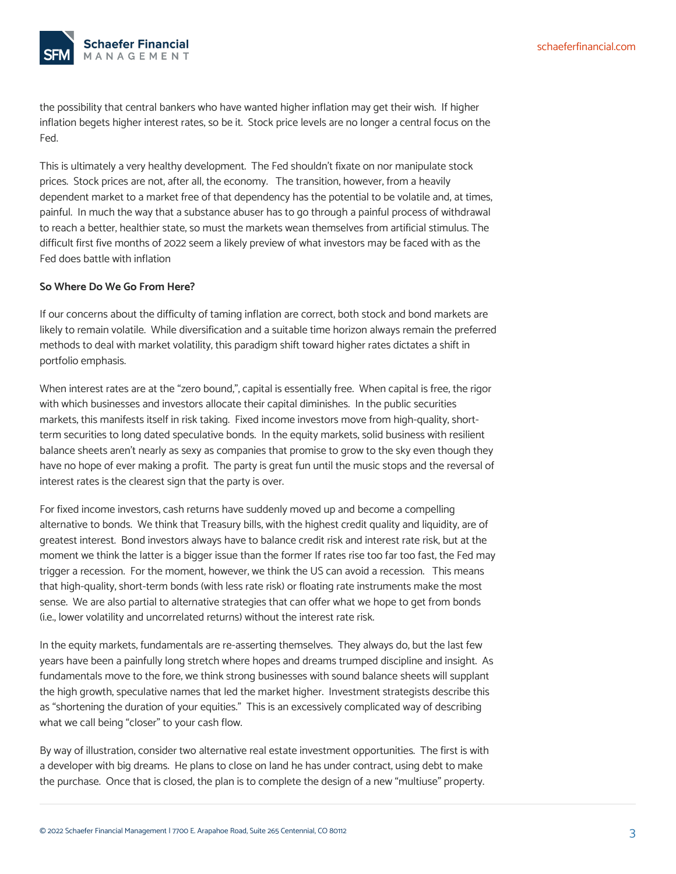

the possibility that central bankers who have wanted higher inflation may get their wish. If higher inflation begets higher interest rates, so be it. Stock price levels are no longer a central focus on the Fed.

This is ultimately a very healthy development. The Fed shouldn't fixate on nor manipulate stock prices. Stock prices are not, after all, the economy. The transition, however, from a heavily dependent market to a market free of that dependency has the potential to be volatile and, at times, painful. In much the way that a substance abuser has to go through a painful process of withdrawal to reach a better, healthier state, so must the markets wean themselves from artificial stimulus. The difficult first five months of 2022 seem a likely preview of what investors may be faced with as the Fed does battle with inflation

## **So Where Do We Go From Here?**

If our concerns about the difficulty of taming inflation are correct, both stock and bond markets are likely to remain volatile. While diversification and a suitable time horizon always remain the preferred methods to deal with market volatility, this paradigm shift toward higher rates dictates a shift in portfolio emphasis.

When interest rates are at the "zero bound,", capital is essentially free. When capital is free, the rigor with which businesses and investors allocate their capital diminishes. In the public securities markets, this manifests itself in risk taking. Fixed income investors move from high-quality, shortterm securities to long dated speculative bonds. In the equity markets, solid business with resilient balance sheets aren't nearly as sexy as companies that promise to grow to the sky even though they have no hope of ever making a profit. The party is great fun until the music stops and the reversal of interest rates is the clearest sign that the party is over.

For fixed income investors, cash returns have suddenly moved up and become a compelling alternative to bonds. We think that Treasury bills, with the highest credit quality and liquidity, are of greatest interest. Bond investors always have to balance credit risk and interest rate risk, but at the moment we think the latter is a bigger issue than the former If rates rise too far too fast, the Fed may trigger a recession. For the moment, however, we think the US can avoid a recession. This means that high-quality, short-term bonds (with less rate risk) or floating rate instruments make the most sense. We are also partial to alternative strategies that can offer what we hope to get from bonds (i.e., lower volatility and uncorrelated returns) without the interest rate risk.

In the equity markets, fundamentals are re-asserting themselves. They always do, but the last few years have been a painfully long stretch where hopes and dreams trumped discipline and insight. As fundamentals move to the fore, we think strong businesses with sound balance sheets will supplant the high growth, speculative names that led the market higher. Investment strategists describe this as "shortening the duration of your equities." This is an excessively complicated way of describing what we call being "closer" to your cash flow.

By way of illustration, consider two alternative real estate investment opportunities. The first is with a developer with big dreams. He plans to close on land he has under contract, using debt to make the purchase. Once that is closed, the plan is to complete the design of a new "multiuse" property.